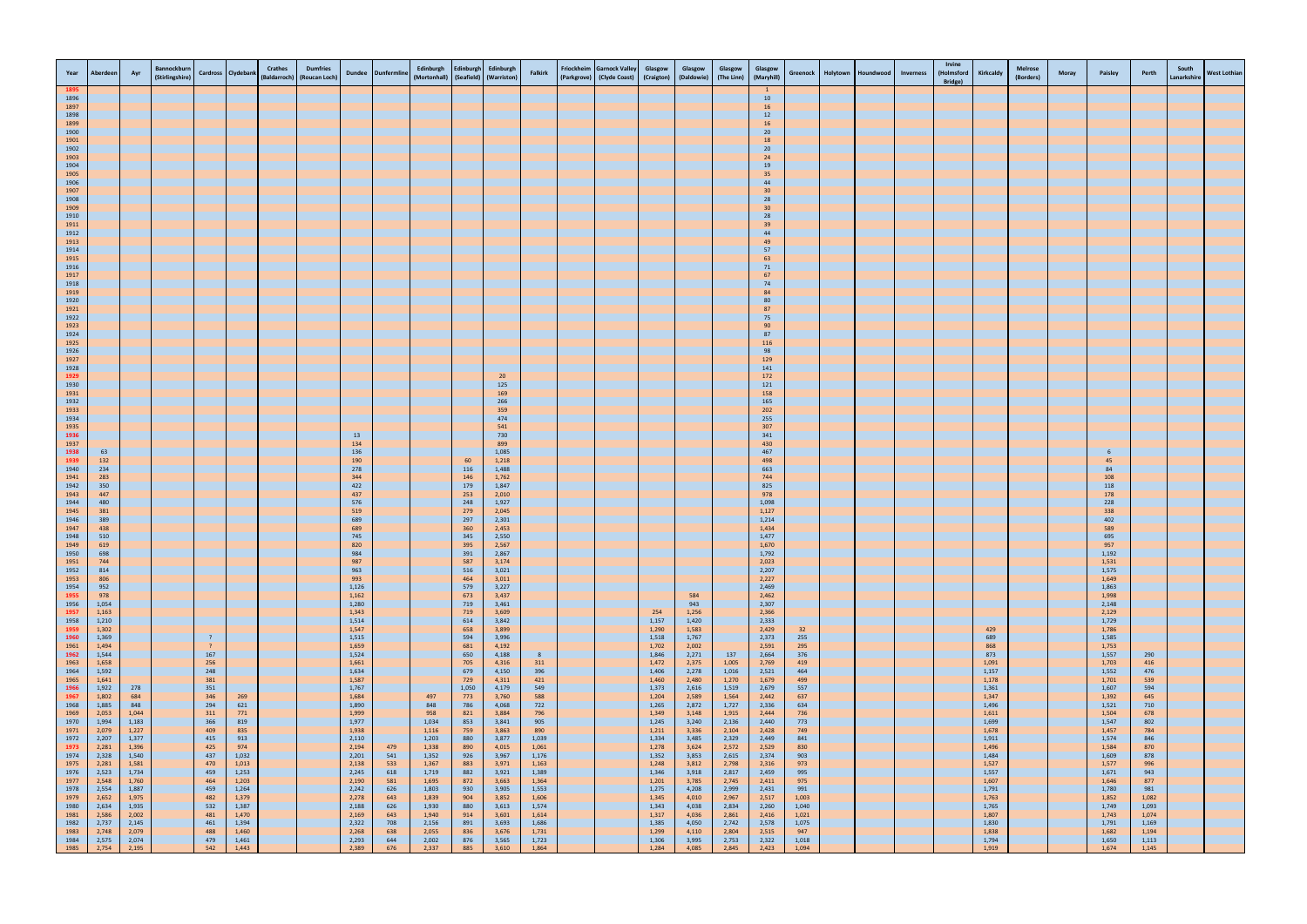| Year                 | Aberdeen       | Ayr            | <b>Bannockburn</b><br>(Stirlingshire) |                                  | Cardross Clydebank | <b>Crathes</b> | <b>Dumfries</b><br>(Baldarroch) (Roucan Loch) |                | Dundee Dunfermline | Edinburgh<br>(Mortonhall) (Seafield) (Warriston) | <b>Edinburgh</b> | Edinburgh      | Falkirk        | <b>Friockheim</b> | <b>Garnock Valley</b><br>(Parkgrove) (Clyde Coast) | Glasgow<br>(Craigton) | Glasgow<br>(Daldowie) | Glasgow<br>(The Linn) | Glasgow<br>(Maryhill) | Greenock       | Holytown | Houndwood | Inverness | Irvine<br>(Holmsford<br>Bridge) | Kirkcaldy      | <b>Melrose</b><br>(Borders) | <b>Moray</b> | Paisley        | Perth          | South<br>Lanarkshire | <b>West Lothian</b> |
|----------------------|----------------|----------------|---------------------------------------|----------------------------------|--------------------|----------------|-----------------------------------------------|----------------|--------------------|--------------------------------------------------|------------------|----------------|----------------|-------------------|----------------------------------------------------|-----------------------|-----------------------|-----------------------|-----------------------|----------------|----------|-----------|-----------|---------------------------------|----------------|-----------------------------|--------------|----------------|----------------|----------------------|---------------------|
| 1895<br>1896         |                |                |                                       |                                  |                    |                |                                               |                |                    |                                                  |                  |                |                |                   |                                                    |                       |                       |                       | 10                    |                |          |           |           |                                 |                |                             |              |                |                |                      |                     |
| 1897<br>1898         |                |                |                                       |                                  |                    |                |                                               |                |                    |                                                  |                  |                |                |                   |                                                    |                       |                       |                       | 16<br>$12\,$          |                |          |           |           |                                 |                |                             |              |                |                |                      |                     |
| 1899<br>1900         |                |                |                                       |                                  |                    |                |                                               |                |                    |                                                  |                  |                |                |                   |                                                    |                       |                       |                       | 16<br>$20\,$          |                |          |           |           |                                 |                |                             |              |                |                |                      |                     |
| 1901                 |                |                |                                       |                                  |                    |                |                                               |                |                    |                                                  |                  |                |                |                   |                                                    |                       |                       |                       | 18                    |                |          |           |           |                                 |                |                             |              |                |                |                      |                     |
| 1902<br>1903         |                |                |                                       |                                  |                    |                |                                               |                |                    |                                                  |                  |                |                |                   |                                                    |                       |                       |                       | 20<br>$24$            |                |          |           |           |                                 |                |                             |              |                |                |                      |                     |
| 1904<br>1905         |                |                |                                       |                                  |                    |                |                                               |                |                    |                                                  |                  |                |                |                   |                                                    |                       |                       |                       | 19<br>35              |                |          |           |           |                                 |                |                             |              |                |                |                      |                     |
| 1906<br>1907         |                |                |                                       |                                  |                    |                |                                               |                |                    |                                                  |                  |                |                |                   |                                                    |                       |                       |                       | 44<br>30 <sub>o</sub> |                |          |           |           |                                 |                |                             |              |                |                |                      |                     |
| 1908<br>1909         |                |                |                                       |                                  |                    |                |                                               |                |                    |                                                  |                  |                |                |                   |                                                    |                       |                       |                       | 28<br>30 <sub>o</sub> |                |          |           |           |                                 |                |                             |              |                |                |                      |                     |
| 1910                 |                |                |                                       |                                  |                    |                |                                               |                |                    |                                                  |                  |                |                |                   |                                                    |                       |                       |                       | 28                    |                |          |           |           |                                 |                |                             |              |                |                |                      |                     |
| 1911<br>1912         |                |                |                                       |                                  |                    |                |                                               |                |                    |                                                  |                  |                |                |                   |                                                    |                       |                       |                       | 39<br>44              |                |          |           |           |                                 |                |                             |              |                |                |                      |                     |
| 1913<br>1914         |                |                |                                       |                                  |                    |                |                                               |                |                    |                                                  |                  |                |                |                   |                                                    |                       |                       |                       | 49<br>57              |                |          |           |           |                                 |                |                             |              |                |                |                      |                     |
| 1915<br>1916         |                |                |                                       |                                  |                    |                |                                               |                |                    |                                                  |                  |                |                |                   |                                                    |                       |                       |                       | 63<br>71              |                |          |           |           |                                 |                |                             |              |                |                |                      |                     |
| 1917<br>1918         |                |                |                                       |                                  |                    |                |                                               |                |                    |                                                  |                  |                |                |                   |                                                    |                       |                       |                       | 67<br>74              |                |          |           |           |                                 |                |                             |              |                |                |                      |                     |
| 1919                 |                |                |                                       |                                  |                    |                |                                               |                |                    |                                                  |                  |                |                |                   |                                                    |                       |                       |                       | 84                    |                |          |           |           |                                 |                |                             |              |                |                |                      |                     |
| 1920<br>1921         |                |                |                                       |                                  |                    |                |                                               |                |                    |                                                  |                  |                |                |                   |                                                    |                       |                       |                       | 80<br>87              |                |          |           |           |                                 |                |                             |              |                |                |                      |                     |
| 1922<br>1923         |                |                |                                       |                                  |                    |                |                                               |                |                    |                                                  |                  |                |                |                   |                                                    |                       |                       |                       | 75<br>90              |                |          |           |           |                                 |                |                             |              |                |                |                      |                     |
| 1924<br>1925         |                |                |                                       |                                  |                    |                |                                               |                |                    |                                                  |                  |                |                |                   |                                                    |                       |                       |                       | 87<br>116             |                |          |           |           |                                 |                |                             |              |                |                |                      |                     |
| 1926<br>1927         |                |                |                                       |                                  |                    |                |                                               |                |                    |                                                  |                  |                |                |                   |                                                    |                       |                       |                       | 98<br>129             |                |          |           |           |                                 |                |                             |              |                |                |                      |                     |
| 1928<br>1929         |                |                |                                       |                                  |                    |                |                                               |                |                    |                                                  |                  | 20             |                |                   |                                                    |                       |                       |                       | 141<br>172            |                |          |           |           |                                 |                |                             |              |                |                |                      |                     |
| 1930                 |                |                |                                       |                                  |                    |                |                                               |                |                    |                                                  |                  | 125            |                |                   |                                                    |                       |                       |                       | 121                   |                |          |           |           |                                 |                |                             |              |                |                |                      |                     |
| 1931<br>1932         |                |                |                                       |                                  |                    |                |                                               |                |                    |                                                  |                  | 169<br>266     |                |                   |                                                    |                       |                       |                       | 158<br>165            |                |          |           |           |                                 |                |                             |              |                |                |                      |                     |
| 1933<br>1934         |                |                |                                       |                                  |                    |                |                                               |                |                    |                                                  |                  | 359<br>474     |                |                   |                                                    |                       |                       |                       | 202<br>255            |                |          |           |           |                                 |                |                             |              |                |                |                      |                     |
| 1935                 |                |                |                                       |                                  |                    |                |                                               | 13             |                    |                                                  |                  | 541<br>730     |                |                   |                                                    |                       |                       |                       | 307<br>341            |                |          |           |           |                                 |                |                             |              |                |                |                      |                     |
| 1936<br>1937         | 63             |                |                                       |                                  |                    |                |                                               | 134<br>136     |                    |                                                  |                  | 899<br>1,085   |                |                   |                                                    |                       |                       |                       | 430<br>467            |                |          |           |           |                                 |                |                             |              | - 6            |                |                      |                     |
| 1938<br>1939<br>1940 | 132            |                |                                       |                                  |                    |                |                                               | 190            |                    |                                                  | 60               | 1,218          |                |                   |                                                    |                       |                       |                       | 498                   |                |          |           |           |                                 |                |                             |              | 45             |                |                      |                     |
| 1941<br>1942         | 234<br>283     |                |                                       |                                  |                    |                |                                               | 278<br>344     |                    |                                                  | 116<br>146       | 1,488<br>1,762 |                |                   |                                                    |                       |                       |                       | 663<br>744            |                |          |           |           |                                 |                |                             |              | 84<br>108      |                |                      |                     |
| 1943                 | 350<br>447     |                |                                       |                                  |                    |                |                                               | 422<br>437     |                    |                                                  | 179<br>253       | 1,847<br>2,010 |                |                   |                                                    |                       |                       |                       | 825<br>978            |                |          |           |           |                                 |                |                             |              | 118<br>178     |                |                      |                     |
| 1944<br>1945         | 480<br>381     |                |                                       |                                  |                    |                |                                               | 576<br>519     |                    |                                                  | 248<br>279       | 1,927<br>2,045 |                |                   |                                                    |                       |                       |                       | 1,098<br>1,127        |                |          |           |           |                                 |                |                             |              | 228<br>338     |                |                      |                     |
| 1946<br>1947         | 389<br>438     |                |                                       |                                  |                    |                |                                               | 689<br>689     |                    |                                                  | 297<br>360       | 2,301<br>2,453 |                |                   |                                                    |                       |                       |                       | 1,214<br>1,434        |                |          |           |           |                                 |                |                             |              | 402<br>589     |                |                      |                     |
| 1948<br>1949         | 510<br>619     |                |                                       |                                  |                    |                |                                               | 745<br>820     |                    |                                                  | 345<br>395       | 2,550<br>2,567 |                |                   |                                                    |                       |                       |                       | 1,477<br>1,670        |                |          |           |           |                                 |                |                             |              | 695<br>957     |                |                      |                     |
| 1950                 | 698            |                |                                       |                                  |                    |                |                                               | 984            |                    |                                                  | 391              | 2,867          |                |                   |                                                    |                       |                       |                       | 1,792                 |                |          |           |           |                                 |                |                             |              | 1,192          |                |                      |                     |
| 1951<br>1952         | 744<br>814     |                |                                       |                                  |                    |                |                                               | 987<br>963     |                    |                                                  | 587<br>516       | 3,174<br>3,021 |                |                   |                                                    |                       |                       |                       | 2,023<br>2,207        |                |          |           |           |                                 |                |                             |              | 1,531<br>1,575 |                |                      |                     |
| 1953<br>1954         | 806<br>952     |                |                                       |                                  |                    |                |                                               | 993<br>1,126   |                    |                                                  | 464<br>579       | 3,011<br>3,227 |                |                   |                                                    |                       |                       |                       | 2,227<br>2,469        |                |          |           |           |                                 |                |                             |              | 1,649<br>1,863 |                |                      |                     |
| 1955<br>1956         | 978<br>1,054   |                |                                       |                                  |                    |                |                                               | 1,162<br>1,280 |                    |                                                  | 673<br>719       | 3,437<br>3,461 |                |                   |                                                    |                       | 584<br>943            |                       | 2,462<br>2,307        |                |          |           |           |                                 |                |                             |              | 1,998<br>2,148 |                |                      |                     |
| 1957<br>1958         | 1,163<br>1,210 |                |                                       |                                  |                    |                |                                               | 1,343<br>1,514 |                    |                                                  | 719<br>614       | 3,609<br>3,842 |                |                   |                                                    | 254<br>1,157          | 1,256<br>1,420        |                       | 2,366<br>2,333        |                |          |           |           |                                 |                |                             |              | 2,129<br>1,729 |                |                      |                     |
| 1959                 | 1,302          |                |                                       |                                  |                    |                |                                               | 1,547          |                    |                                                  | 658              | 3,899          |                |                   |                                                    | 1,290                 | 1,583                 |                       | 2,429                 | 32             |          |           |           |                                 | 429            |                             |              | 1,786          |                |                      |                     |
| 1960<br>1961         | 1,369<br>1,494 |                |                                       | $\overline{?}$<br>$\overline{?}$ |                    |                |                                               | 1,515<br>1,659 |                    |                                                  | 594<br>681       | 3,996<br>4,192 |                |                   |                                                    | 1,518<br>1,702        | 1,767<br>2,002        |                       | 2,373<br>2,591        | 255<br>295     |          |           |           |                                 | 689<br>868     |                             |              | 1,585<br>1,753 |                |                      |                     |
| 1962<br>1963         | 1,544<br>1,658 |                |                                       | 167<br>256                       |                    |                |                                               | 1,524<br>1,661 |                    |                                                  | 650<br>705       | 4,188<br>4,316 | 8<br>311       |                   |                                                    | 1,846<br>1,472        | 2,271<br>2,375        | 137<br>1,005          | 2,664<br>2,769        | 376<br>419     |          |           |           |                                 | 873<br>1,091   |                             |              | 1,557<br>1,703 | 290<br>416     |                      |                     |
| 1964<br>1965         | 1,592<br>1,641 |                |                                       | 248<br>381                       |                    |                |                                               | 1,634<br>1,587 |                    |                                                  | 679<br>729       | 4,150<br>4,311 | 396<br>421     |                   |                                                    | 1,406<br>1,460        | 2,278<br>2,480        | 1,016<br>1,270        | 2,521<br>1,679        | 464<br>499     |          |           |           |                                 | 1,157<br>1,178 |                             |              | 1,552<br>1,701 | 476<br>539     |                      |                     |
| 1966<br>1967         | 1,922<br>1,802 | 278<br>684     |                                       | 351<br>346                       | 269                |                |                                               | 1,767<br>1,684 |                    | 497                                              | 1,050<br>773     | 4,179<br>3,760 | 549<br>588     |                   |                                                    | 1,373<br>1,204        | 2,616<br>2,589        | 1,519<br>1,564        | 2,679<br>2,442        | 557<br>637     |          |           |           |                                 | 1,361<br>1,347 |                             |              | 1,607<br>1,392 | 594<br>645     |                      |                     |
| 1968                 | 1,885          | 848            |                                       | 294                              | 621                |                |                                               | 1,890          |                    | 848                                              | 786              | 4,068          | 722            |                   |                                                    | 1,265                 | 2,872                 | 1,727                 | 2,336                 | 634            |          |           |           |                                 | 1,496          |                             |              | 1,521<br>1,504 | 710            |                      |                     |
| 1969<br>1970         | 2,053<br>1,994 | 1,044<br>1,183 |                                       | 311<br>366                       | 771<br>819         |                |                                               | 1,999<br>1,977 |                    | 958<br>1,034                                     | 821<br>853       | 3,884<br>3,841 | 796<br>905     |                   |                                                    | 1,349<br>1,245        | 3,148<br>3,240        | 1,915<br>2,136        | 2,444<br>2,440        | 736<br>773     |          |           |           |                                 | 1,611<br>1,699 |                             |              | 1,547          | 678<br>802     |                      |                     |
| 1971<br>1972         | 2,079<br>2,207 | 1,227<br>1,377 |                                       | 409<br>415                       | 835<br>913         |                |                                               | 1,938<br>2,110 |                    | 1,116<br>1,203                                   | 759<br>880       | 3,863<br>3,877 | 890<br>1,039   |                   |                                                    | 1,211<br>1,334        | 3,336<br>3,485        | 2,104<br>2,329        | 2,428<br>2,449        | 749<br>841     |          |           |           |                                 | 1,678<br>1,911 |                             |              | 1,457<br>1,574 | 784<br>846     |                      |                     |
| 1973<br>1974         | 2,281<br>2,328 | 1,396<br>1,540 |                                       | 425<br>437                       | 974<br>1,032       |                |                                               | 2,194<br>2,201 | 479<br>541         | 1,338<br>1,352                                   | 890<br>926       | 4,015<br>3,967 | 1,061<br>1,176 |                   |                                                    | 1,278<br>1,352        | 3,624<br>3,853        | 2,572<br>2,615        | 2,529<br>2,374        | 830<br>903     |          |           |           |                                 | 1,496<br>1,484 |                             |              | 1,584<br>1,609 | 870<br>878     |                      |                     |
| 1975<br>1976         | 2,281<br>2,523 | 1,581<br>1,734 |                                       | 470<br>459                       | 1,013<br>1,253     |                |                                               | 2,138<br>2,245 | 533<br>618         | 1,367<br>1,719                                   | 883<br>882       | 3,971<br>3,921 | 1,163<br>1,389 |                   |                                                    | 1,248<br>1,346        | 3,812<br>3,918        | 2,798<br>2,817        | 2,316<br>2,459        | 973<br>995     |          |           |           |                                 | 1,527<br>1,557 |                             |              | 1,577<br>1,671 | 996<br>943     |                      |                     |
| 1977<br>1978         | 2,548<br>2,554 | 1,760<br>1,887 |                                       | 464<br>459                       | 1,203<br>1,264     |                |                                               | 2,190<br>2,242 | 581<br>626         | 1,695<br>1,803                                   | 872<br>930       | 3,663<br>3,905 | 1,364<br>1,553 |                   |                                                    | 1,201<br>1,275        | 3,785<br>4,208        | 2,745<br>2,999        | 2,411<br>2,431        | 975<br>991     |          |           |           |                                 | 1,607<br>1,791 |                             |              | 1,646<br>1,780 | 877<br>981     |                      |                     |
| 1979                 | 2,652          | 1,975          |                                       | 482                              | 1,379              |                |                                               | 2,278          | 643                | 1,839                                            | 904              | 3,852          | 1,606          |                   |                                                    | 1,345                 | 4,010                 | 2,967                 | 2,517                 | 1,003          |          |           |           |                                 | 1,763          |                             |              | 1,852          | 1,082          |                      |                     |
| 1980<br>1981         | 2,634<br>2,586 | 1,935<br>2,002 |                                       | 532<br>481                       | 1,387<br>1,470     |                |                                               | 2,188<br>2,169 | 626<br>643         | 1,930<br>1,940                                   | 880<br>914       | 3,613<br>3,601 | 1,574<br>1,614 |                   |                                                    | 1,343<br>1,317        | 4,038<br>4,036        | 2,834<br>2,861        | 2,260<br>2,416        | 1,040<br>1,021 |          |           |           |                                 | 1,765<br>1,807 |                             |              | 1,749<br>1,743 | 1,093<br>1,074 |                      |                     |
| 1982<br>1983         | 2,737<br>2,748 | 2,145<br>2,079 |                                       | 461<br>488                       | 1,394<br>1,460     |                |                                               | 2,322<br>2,268 | 708<br>638         | 2,156<br>2,055                                   | 891<br>836       | 3,693<br>3,676 | 1,686<br>1,731 |                   |                                                    | 1,385<br>1,299        | 4,050<br>4,110        | 2,742<br>2,804        | 2,578<br>2,515        | 1,075<br>947   |          |           |           |                                 | 1,830<br>1,838 |                             |              | 1,791<br>1,682 | 1,169<br>1,194 |                      |                     |
| 1984<br>1985         | 2,575<br>2,754 | 2,074<br>2,195 |                                       | 479<br>542                       | 1,461<br>1,443     |                |                                               | 2,293<br>2,389 | 644<br>676         | 2,002<br>2,337                                   | 876<br>885       | 3,565<br>3,610 | 1,723<br>1,864 |                   |                                                    | 1,306<br>1,284        | 3,995<br>4,085        | 2,753<br>2,845        | 2,322<br>2,423        | 1,018<br>1,094 |          |           |           |                                 | 1,794<br>1,919 |                             |              | 1,650<br>1,674 | 1,113<br>1,145 |                      |                     |